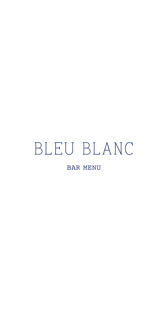# BLEU BLANC

**BAR MENU**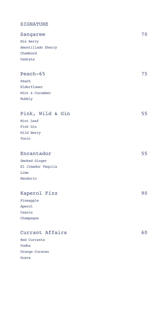# SIGNATURE

| Sangaree           | 70 |
|--------------------|----|
| Mix Berry          |    |
| Amontillado Sherry |    |
| Chambord           |    |
| Cedrata            |    |
|                    |    |
| Peach-65           | 75 |
| Peach              |    |
| Elderflower        |    |
| Mint & Cucumber    |    |
| Bubbly             |    |
| Pink, Wild & Gin   | 55 |
| Mint Leaf          |    |
| Pink Gin           |    |
| Wild Berry         |    |
| Tonic              |    |
|                    |    |
| Encantador         | 55 |
| Smoked Ginger      |    |
| El Jimador Tequila |    |
| Lime               |    |
| Mandarin           |    |
|                    |    |
| Kaperol Fizz       | 90 |
| Pineapple          |    |
| Aperol             |    |
| Cassis             |    |
| Champagne          |    |
| Currant Affairs    | 60 |

| Red Currants |
|--------------|

Vodka Orange Curacao Guava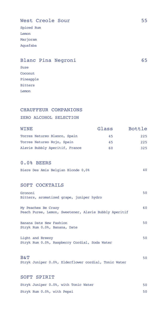# West Creole Sour 55

Spiced Rum Lemon Marjoram Aquafaba

# Blanc Pina Negroni 65

Suze Coconut Pineapple Bitters Lemon

## CHAUFFEUR COMPANIONS

## ZERO ALCOHOL SELECTION

| WINE                           | Glass | Bottle |
|--------------------------------|-------|--------|
| Torres Natureo Blanco, Spain   | 45    | 225    |
| Torres Natureo Rojo, Spain     | 45    | 225    |
| Alavie Bubbly Aperitif, France | 60    | 325    |

#### 0.0% BEERS

|  |  |  |  | Biere Des Amis Belgian Blonde 0,0% |  |
|--|--|--|--|------------------------------------|--|
|--|--|--|--|------------------------------------|--|

## SOFT COCKTAILS

| Grononi<br>Bitters, aromatized grape, juniper hydro                          | 50 |
|------------------------------------------------------------------------------|----|
| My Peaches Be Crazy<br>Peach Puree, Lemon, Sweetener, Alavie Bubbly Aperitif | 60 |
| Banana Date New Fashion<br>Stryk Rum 0.0%, Banana, Date                      | 50 |
| Light and Breezy                                                             | 50 |

Stryk Rum 0.0%, Raspberry Cordial, Soda Water

## $\mathbf{B\&T}$  50

Stryk Juniper 0.0%, Elderflower cordial, Tonic Water

#### SOFT SPIRIT

| Stryk Juniper 0.0%, with Tonic Water |  |
|--------------------------------------|--|
| Stryk Rum 0.0%, with Pepsi           |  |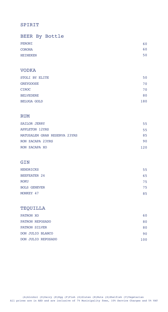# SPIRIT

| BEER By Bottle |    |
|----------------|----|
| PERONI         | 60 |
| CORONA         | 60 |
| HEINEKEN       | 50 |
|                |    |

#### VODKA

| STOLI BY ELITE     | 50  |
|--------------------|-----|
| <b>GREYGOOSE</b>   | 70  |
| <b>CIROC</b>       | 70  |
| <b>BELVEDERE</b>   | 80  |
| <b>BELUGA GOLD</b> | 180 |

## RUM

| <b>SAILOR JERRY</b>          | 55  |
|------------------------------|-----|
| <b>APPLETON 12YRS</b>        | 55  |
| MATUSALEM GRAN RESERVA 23YRS | 85  |
| RON ZACAPA 23YRS             | 90  |
| RON ZACAPA XO                | 120 |

## GIN

| <b>HENDRICKS</b>    | 55 |
|---------------------|----|
| <b>BEEFEATER 24</b> | 65 |
| <b>ROKU</b>         | 75 |
| <b>BOLS GENEVER</b> | 75 |
| MONKEY 47           | 85 |

# TEQUILLA

| PATRON XO                 | 60  |
|---------------------------|-----|
| PATRON REPOSADO           | 80  |
| <b>PATRON SILVER</b>      | 80  |
| DON JULIO BLANCO          | 90  |
| <b>DON JULIO REPOSADO</b> | 100 |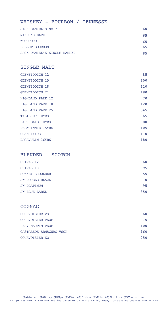#### WHISKEY - BOURBON / TENNESSE

| JACK DANIEL'S NO.7                 | 60 |
|------------------------------------|----|
| MAKER'S MARK                       | 65 |
| <b>WOODFORD</b>                    | 65 |
| <b>BULLET BOURBON</b>              | 65 |
| <b>JACK DANIEL'S SINGLE BARREL</b> | 85 |

# SINGLE MALT

| GLENFIDDICH 12          | 85  |
|-------------------------|-----|
| <b>GLENFIDDICH 15</b>   | 100 |
| <b>GLENFIDDICH 18</b>   | 110 |
| <b>GLENFIDDICH 21</b>   | 180 |
| HIGHLAND PARK 12        | 70  |
| <b>HIGHLAND PARK 18</b> | 120 |
| <b>HIGHLAND PARK 25</b> | 545 |
| <b>TALISKER 10YRS</b>   | 65  |
| LAPHROAIG 10YRS         | 80  |
| DALWHINNIE 15YRS        | 105 |
| OBAN 14YRS              | 170 |
| LAGAVULIN 16YRS         | 180 |

### BLENDED – SCOTCH

| CHIVAS 12          | 60  |
|--------------------|-----|
| CHIVAS 18          | 95  |
| MONKEY SHOULDER    | 55  |
| JW DOUBLE BLACK    | 70  |
| <b>JW PLATINUM</b> | 95  |
| JW BLUE LABEL      | 350 |

#### **COGNAC**

| COURVOISIER VS          | 60  |
|-------------------------|-----|
| <b>COURVOISIER VSOP</b> | 75  |
| REMY MARTIN VSOP        | 100 |
| CASTAREDE ARMAGNAC VSOP | 160 |
| COURVOISIER XO          | 250 |